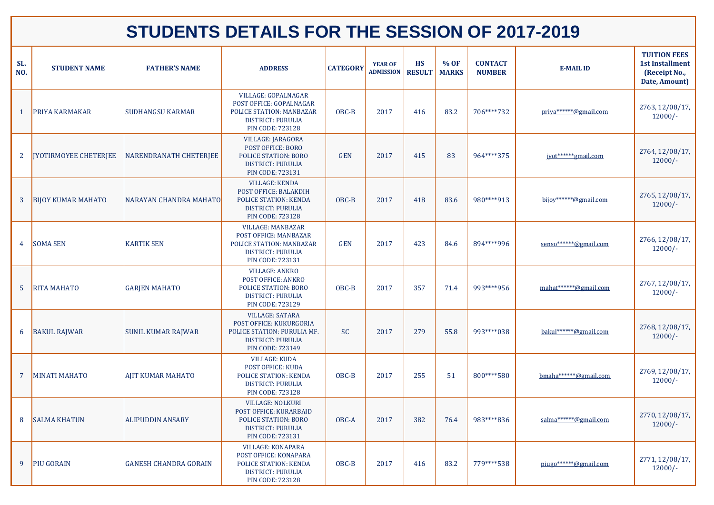| SL.<br>NO.     | <b>STUDENT NAME</b>       | <b>FATHER'S NAME</b>         | <b>ADDRESS</b>                                                                                                                             | <b>CATEGORY</b> | <b>YEAR OF</b><br><b>ADMISSION</b> | <b>HS</b><br><b>RESULT</b> | % OF<br><b>MARKS</b> | <b>CONTACT</b><br><b>NUMBER</b> | <b>E-MAIL ID</b>      | <b>TUITION FEES</b><br><b>1st Installment</b><br>(Receipt No.,<br>Date, Amount) |
|----------------|---------------------------|------------------------------|--------------------------------------------------------------------------------------------------------------------------------------------|-----------------|------------------------------------|----------------------------|----------------------|---------------------------------|-----------------------|---------------------------------------------------------------------------------|
|                | <b>PRIYA KARMAKAR</b>     | <b>SUDHANGSU KARMAR</b>      | <b>VILLAGE: GOPALNAGAR</b><br>POST OFFICE: GOPALNAGAR<br>POLICE STATION: MANBAZAR<br><b>DISTRICT: PURULIA</b><br><b>PIN CODE: 723128</b>   | OBC-B           | 2017                               | 416                        | 83.2                 | 706****732                      | priya******@gmail.com | 2763, 12/08/17,<br>$12000/-$                                                    |
| 2 <sup>1</sup> | JYOTIRMOYEE CHETERJEE     | NARENDRANATH CHETERJEE       | <b>VILLAGE: JARAGORA</b><br><b>POST OFFICE: BORO</b><br><b>POLICE STATION: BORO</b><br><b>DISTRICT: PURULIA</b><br><b>PIN CODE: 723131</b> | <b>GEN</b>      | 2017                               | 415                        | 83                   | 964****375                      | jyot*******gmail.com  | 2764, 12/08/17,<br>$12000/-$                                                    |
|                | <b>BIJOY KUMAR MAHATO</b> | NARAYAN CHANDRA MAHATO       | <b>VILLAGE: KENDA</b><br>POST OFFICE: BALAKDIH<br><b>POLICE STATION: KENDA</b><br><b>DISTRICT: PURULIA</b><br><b>PIN CODE: 723128</b>      | OBC-B           | 2017                               | 418                        | 83.6                 | 980****913                      | bijov******@gmail.com | 2765, 12/08/17,<br>$12000/-$                                                    |
|                | 4 SOMA SEN                | <b>KARTIK SEN</b>            | <b>VILLAGE: MANBAZAR</b><br>POST OFFICE: MANBAZAR<br>POLICE STATION: MANBAZAR<br><b>DISTRICT: PURULIA</b><br><b>PIN CODE: 723131</b>       | <b>GEN</b>      | 2017                               | 423                        | 84.6                 | 894****996                      | senso******@gmail.com | 2766, 12/08/17,<br>$12000/-$                                                    |
| 5 <sup>5</sup> | <b>RITA MAHATO</b>        | <b>GARJEN MAHATO</b>         | <b>VILLAGE: ANKRO</b><br><b>POST OFFICE: ANKRO</b><br><b>POLICE STATION: BORO</b><br><b>DISTRICT: PURULIA</b><br><b>PIN CODE: 723129</b>   | OBC-B           | 2017                               | 357                        | 71.4                 | 993****956                      | mahat******@gmail.com | 2767, 12/08/17,<br>$12000/-$                                                    |
| 6              | <b>BAKUL RAJWAR</b>       | <b>SUNIL KUMAR RAJWAR</b>    | <b>VILLAGE: SATARA</b><br>POST OFFICE: KUKURGORIA<br>POLICE STATION: PURULIA MF.<br><b>DISTRICT: PURULIA</b><br><b>PIN CODE: 723149</b>    | <b>SC</b>       | 2017                               | 279                        | 55.8                 | 993****038                      | bakul******@gmail.com | 2768, 12/08/17,<br>$12000/-$                                                    |
|                | <b>MINATI MAHATO</b>      | <b>AJIT KUMAR MAHATO</b>     | <b>VILLAGE: KUDA</b><br>POST OFFICE: KUDA<br><b>POLICE STATION: KENDA</b><br><b>DISTRICT: PURULIA</b><br><b>PIN CODE: 723128</b>           | OBC-B           | 2017                               | 255                        | 51                   | 800****580                      | bmaha******@gmail.com | 2769, 12/08/17,<br>$12000/-$                                                    |
| 8              | <b>SALMA KHATUN</b>       | <b>ALIPUDDIN ANSARY</b>      | <b>VILLAGE: NOLKURI</b><br>POST OFFICE: KURARBAID<br><b>POLICE STATION: BORO</b><br><b>DISTRICT: PURULIA</b><br><b>PIN CODE: 723131</b>    | OBC-A           | 2017                               | 382                        | 76.4                 | 983****836                      | salma******@gmail.com | 2770, 12/08/17,<br>$12000/-$                                                    |
| 9              | <b>PIU GORAIN</b>         | <b>GANESH CHANDRA GORAIN</b> | <b>VILLAGE: KONAPARA</b><br>POST OFFICE: KONAPARA<br><b>POLICE STATION: KENDA</b><br><b>DISTRICT: PURULIA</b><br><b>PIN CODE: 723128</b>   | OBC-B           | 2017                               | 416                        | 83.2                 | 779****538                      | piugo******@gmail.com | 2771, 12/08/17,<br>$12000/-$                                                    |

## **STUDENTS DETAILS FOR THE SESSION OF 2017-2019**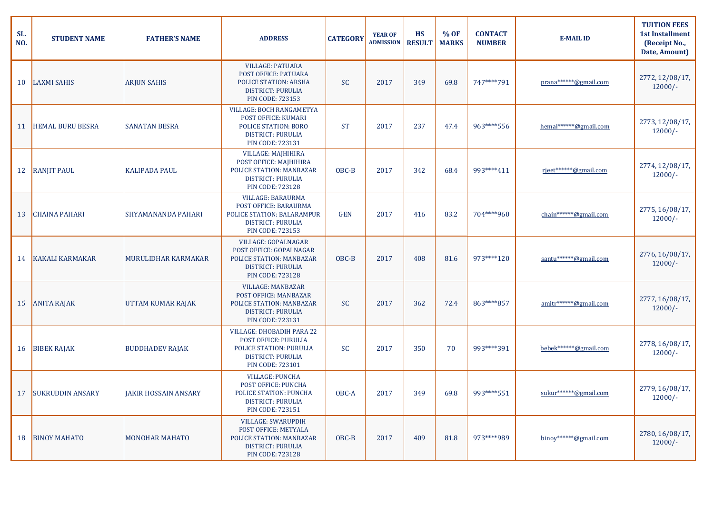| SL.<br>NO. | <b>STUDENT NAME</b>     | <b>FATHER'S NAME</b>        | <b>ADDRESS</b>                                                                                                                                      | <b>CATEGORY</b> | <b>YEAR OF</b><br><b>ADMISSION</b> | <b>HS</b><br><b>RESULT</b> | % OF<br><b>MARKS</b> | <b>CONTACT</b><br><b>NUMBER</b> | <b>E-MAIL ID</b>                  | <b>TUITION FEES</b><br><b>1st Installment</b><br>(Receipt No.,<br>Date, Amount) |
|------------|-------------------------|-----------------------------|-----------------------------------------------------------------------------------------------------------------------------------------------------|-----------------|------------------------------------|----------------------------|----------------------|---------------------------------|-----------------------------------|---------------------------------------------------------------------------------|
| 10         | <b>LAXMI SAHIS</b>      | <b>ARJUN SAHIS</b>          | <b>VILLAGE: PATUARA</b><br>POST OFFICE: PATUARA<br>POLICE STATION: ARSHA<br><b>DISTRICT: PURULIA</b><br><b>PIN CODE: 723153</b>                     | <b>SC</b>       | 2017                               | 349                        | 69.8                 | 747****791                      | prana******@gmail.com             | 2772, 12/08/17,<br>$12000/-$                                                    |
|            | <b>HEMAL BURU BESRA</b> | <b>SANATAN BESRA</b>        | <b>VILLAGE: BOCH RANGAMETYA</b><br><b>POST OFFICE: KUMARI</b><br><b>POLICE STATION: BORO</b><br><b>DISTRICT: PURULIA</b><br><b>PIN CODE: 723131</b> | <b>ST</b>       | 2017                               | 237                        | 47.4                 | 963****556                      | hemal******@gmail.com             | 2773, 12/08/17,<br>$12000/-$                                                    |
| 12         | <b>RANJIT PAUL</b>      | <b>KALIPADA PAUL</b>        | <b>VILLAGE: MAJHIHIRA</b><br>POST OFFICE: MAJHIHIRA<br>POLICE STATION: MANBAZAR<br><b>DISTRICT: PURULIA</b><br><b>PIN CODE: 723128</b>              | OBC-B           | 2017                               | 342                        | 68.4                 | 993****411                      | rjeet******@gmail.com             | 2774, 12/08/17,<br>$12000/-$                                                    |
| 13         | <b>CHAINA PAHARI</b>    | <b>SHYAMANANDA PAHARI</b>   | <b>VILLAGE: BARAURMA</b><br>POST OFFICE: BARAURMA<br>POLICE STATION: BALARAMPUR<br><b>DISTRICT: PURULIA</b><br><b>PIN CODE: 723153</b>              | <b>GEN</b>      | 2017                               | 416                        | 83.2                 | 704****960                      | chain******@gmail.com             | 2775, 16/08/17,<br>$12000/-$                                                    |
|            | 14 KAKALI KARMAKAR      | <b>MURULIDHAR KARMAKAR</b>  | <b>VILLAGE: GOPALNAGAR</b><br>POST OFFICE: GOPALNAGAR<br>POLICE STATION: MANBAZAR<br><b>DISTRICT: PURULIA</b><br><b>PIN CODE: 723128</b>            | OBC-B           | 2017                               | 408                        | 81.6                 | 973****120                      | santu******@gmail.com             | 2776, 16/08/17,<br>$12000/-$                                                    |
|            | 15 ANITA RAJAK          | UTTAM KUMAR RAJAK           | <b>VILLAGE: MANBAZAR</b><br>POST OFFICE: MANBAZAR<br>POLICE STATION: MANBAZAR<br><b>DISTRICT: PURULIA</b><br><b>PIN CODE: 723131</b>                | <b>SC</b>       | 2017                               | 362                        | 72.4                 | 863****857                      | amitr******@gmail.com             | 2777, 16/08/17,<br>$12000/-$                                                    |
|            | 16 BIBEK RAJAK          | <b>BUDDHADEV RAJAK</b>      | VILLAGE: DHOBADIH PARA 22<br><b>POST OFFICE: PURULIA</b><br><b>POLICE STATION: PURULIA</b><br><b>DISTRICT: PURULIA</b><br><b>PIN CODE: 723101</b>   | <b>SC</b>       | 2017                               | 350                        | 70                   | 993****391                      | bebek******@gmail.com             | 2778, 16/08/17,<br>$12000/-$                                                    |
| 17         | <b>SUKRUDDIN ANSARY</b> | <b>JAKIR HOSSAIN ANSARY</b> | <b>VILLAGE: PUNCHA</b><br><b>POST OFFICE: PUNCHA</b><br><b>POLICE STATION: PUNCHA</b><br><b>DISTRICT: PURULIA</b><br><b>PIN CODE: 723151</b>        | OBC-A           | 2017                               | 349                        | 69.8                 | 993****551                      | sukur******@gmail.com             | 2779, 16/08/17,<br>$12000/-$                                                    |
| 18         | <b>BINOY MAHATO</b>     | <b>MONOHAR MAHATO</b>       | <b>VILLAGE: SWARUPDIH</b><br>POST OFFICE: METYALA<br>POLICE STATION: MANBAZAR<br><b>DISTRICT: PURULIA</b><br><b>PIN CODE: 723128</b>                | OBC-B           | 2017                               | 409                        | 81.8                 | 973****989                      | $binoy*****\mathcal{Q}$ gmail.com | 2780, 16/08/17,<br>$12000/-$                                                    |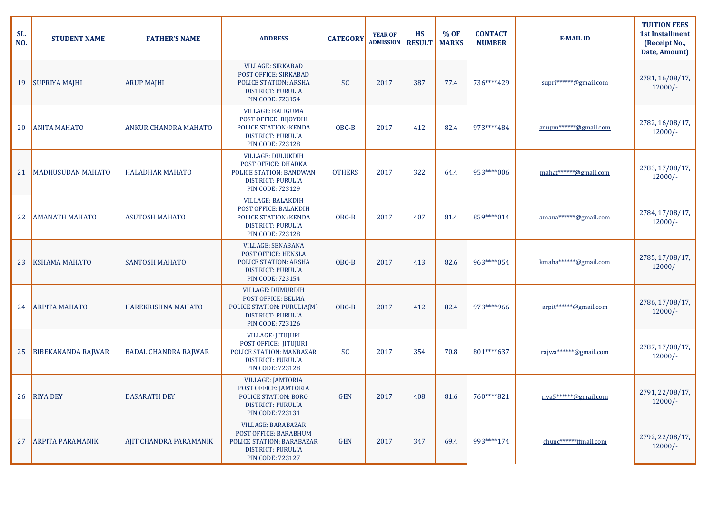| SL.<br>NO. | <b>STUDENT NAME</b>       | <b>FATHER'S NAME</b>        | <b>ADDRESS</b>                                                                                                                                  | <b>CATEGORY</b> | <b>YEAR OF</b><br><b>ADMISSION</b> | <b>HS</b><br><b>RESULT</b> | % OF<br><b>MARKS</b> | <b>CONTACT</b><br><b>NUMBER</b> | <b>E-MAIL ID</b>      | <b>TUITION FEES</b><br><b>1st Installment</b><br>(Receipt No.,<br>Date, Amount) |
|------------|---------------------------|-----------------------------|-------------------------------------------------------------------------------------------------------------------------------------------------|-----------------|------------------------------------|----------------------------|----------------------|---------------------------------|-----------------------|---------------------------------------------------------------------------------|
| 19         | SUPRIYA MAJHI             | <b>ARUP MAJHI</b>           | <b>VILLAGE: SIRKABAD</b><br>POST OFFICE: SIRKABAD<br><b>POLICE STATION: ARSHA</b><br><b>DISTRICT: PURULIA</b><br><b>PIN CODE: 723154</b>        | <b>SC</b>       | 2017                               | 387                        | 77.4                 | 736****429                      | supri******@gmail.com | 2781, 16/08/17,<br>$12000/-$                                                    |
| 20         | <b>ANITA MAHATO</b>       | <b>ANKUR CHANDRA MAHATO</b> | <b>VILLAGE: BALIGUMA</b><br>POST OFFICE: BIJOYDIH<br><b>POLICE STATION: KENDA</b><br><b>DISTRICT: PURULIA</b><br><b>PIN CODE: 723128</b>        | OBC-B           | 2017                               | 412                        | 82.4                 | 973****484                      | anupm******@gmail.com | 2782, 16/08/17,<br>$12000/-$                                                    |
| 21         | MADHUSUDAN MAHATO         | <b>HALADHAR MAHATO</b>      | <b>VILLAGE: DULUKDIH</b><br><b>POST OFFICE: DHADKA</b><br><b>POLICE STATION: BANDWAN</b><br><b>DISTRICT: PURULIA</b><br><b>PIN CODE: 723129</b> | <b>OTHERS</b>   | 2017                               | 322                        | 64.4                 | 953****006                      | mahat******@gmail.com | 2783, 17/08/17,<br>$12000/-$                                                    |
|            | <b>AMANATH MAHATO</b>     | <b>ASUTOSH MAHATO</b>       | <b>VILLAGE: BALAKDIH</b><br>POST OFFICE: BALAKDIH<br><b>POLICE STATION: KENDA</b><br><b>DISTRICT: PURULIA</b><br><b>PIN CODE: 723128</b>        | OBC-B           | 2017                               | 407                        | 81.4                 | 859****014                      | amana******@gmail.com | 2784, 17/08/17,<br>$12000/-$                                                    |
| 23         | <b>KSHAMA MAHATO</b>      | <b>SANTOSH MAHATO</b>       | <b>VILLAGE: SENABANA</b><br>POST OFFICE: HENSLA<br>POLICE STATION: ARSHA<br><b>DISTRICT: PURULIA</b><br><b>PIN CODE: 723154</b>                 | OBC-B           | 2017                               | 413                        | 82.6                 | 963****054                      | kmaha******@gmail.com | 2785, 17/08/17,<br>$12000/-$                                                    |
|            | 24   ARPITA MAHATO        | <b>HAREKRISHNA MAHATO</b>   | <b>VILLAGE: DUMURDIH</b><br>POST OFFICE: BELMA<br>POLICE STATION: PURULIA(M)<br><b>DISTRICT: PURULIA</b><br><b>PIN CODE: 723126</b>             | OBC-B           | 2017                               | 412                        | 82.4                 | 973****966                      | arpit******@gmail.com | 2786, 17/08/17,<br>$12000/-$                                                    |
| 25         | <b>BIBEKANANDA RAJWAR</b> | <b>BADAL CHANDRA RAJWAR</b> | <b>VILLAGE: JITUJURI</b><br>POST OFFICE: JITUJURI<br>POLICE STATION: MANBAZAR<br><b>DISTRICT: PURULIA</b><br><b>PIN CODE: 723128</b>            | <b>SC</b>       | 2017                               | 354                        | 70.8                 | 801****637                      | rajwa******@gmail.com | 2787, 17/08/17,<br>$12000/-$                                                    |
| 26         | <b>RIYA DEY</b>           | <b>DASARATH DEY</b>         | <b>VILLAGE: JAMTORIA</b><br>POST OFFICE: JAMTORIA<br><b>POLICE STATION: BORO</b><br><b>DISTRICT: PURULIA</b><br><b>PIN CODE: 723131</b>         | <b>GEN</b>      | 2017                               | 408                        | 81.6                 | 760****821                      | riva5******@gmail.com | 2791, 22/08/17,<br>$12000/-$                                                    |
| 27         | <b>ARPITA PARAMANIK</b>   | AJIT CHANDRA PARAMANIK      | <b>VILLAGE: BARABAZAR</b><br>POST OFFICE: BARABHUM<br><b>POLICE STATION: BARABAZAR</b><br><b>DISTRICT: PURULIA</b><br><b>PIN CODE: 723127</b>   | <b>GEN</b>      | 2017                               | 347                        | 69.4                 | 993****174                      | chunc******ffmail.com | 2792, 22/08/17,<br>$12000/-$                                                    |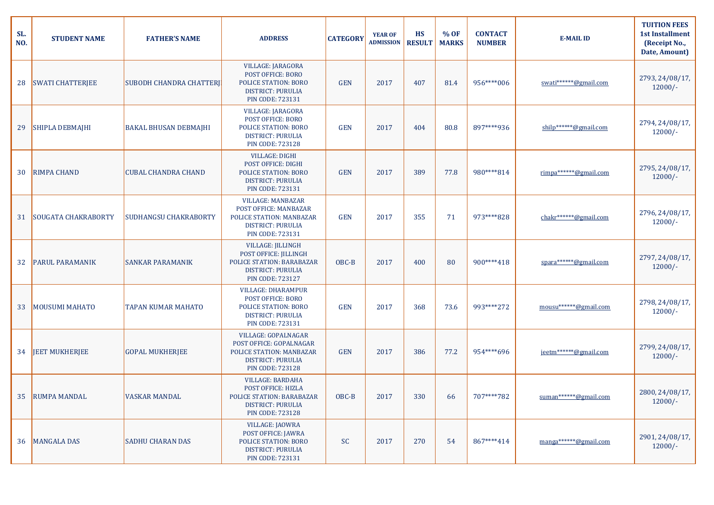| SL.<br>NO. | <b>STUDENT NAME</b>        | <b>FATHER'S NAME</b>           | <b>ADDRESS</b>                                                                                                                                  | <b>CATEGORY</b> | <b>YEAR OF</b><br><b>ADMISSION</b> | <b>HS</b><br><b>RESULT</b> | % OF<br><b>MARKS</b> | <b>CONTACT</b><br><b>NUMBER</b> | <b>E-MAIL ID</b>      | <b>TUITION FEES</b><br><b>1st Installment</b><br>(Receipt No.,<br>Date, Amount) |
|------------|----------------------------|--------------------------------|-------------------------------------------------------------------------------------------------------------------------------------------------|-----------------|------------------------------------|----------------------------|----------------------|---------------------------------|-----------------------|---------------------------------------------------------------------------------|
| 28         | <b>SWATI CHATTERJEE</b>    | <b>SUBODH CHANDRA CHATTERI</b> | <b>VILLAGE: JARAGORA</b><br><b>POST OFFICE: BORO</b><br><b>POLICE STATION: BORO</b><br><b>DISTRICT: PURULIA</b><br><b>PIN CODE: 723131</b>      | <b>GEN</b>      | 2017                               | 407                        | 81.4                 | 956****006                      | swati******@gmail.com | 2793, 24/08/17,<br>$12000/-$                                                    |
| 29         | <b>SHIPLA DEBMAJHI</b>     | <b>BAKAL BHUSAN DEBMAJHI</b>   | <b>VILLAGE: JARAGORA</b><br>POST OFFICE: BORO<br><b>POLICE STATION: BORO</b><br><b>DISTRICT: PURULIA</b><br><b>PIN CODE: 723128</b>             | <b>GEN</b>      | 2017                               | 404                        | 80.8                 | 897****936                      | $shilp****@gmail.com$ | 2794, 24/08/17,<br>$12000/-$                                                    |
| 30         | <b>RIMPA CHAND</b>         | <b>CUBAL CHANDRA CHAND</b>     | <b>VILLAGE: DIGHI</b><br>POST OFFICE: DIGHI<br><b>POLICE STATION: BORO</b><br><b>DISTRICT: PURULIA</b><br><b>PIN CODE: 723131</b>               | <b>GEN</b>      | 2017                               | 389                        | 77.8                 | 980****814                      | rimpa******@gmail.com | 2795, 24/08/17,<br>$12000/-$                                                    |
| 31         | <b>SOUGATA CHAKRABORTY</b> | <b>SUDHANGSU CHAKRABORTY</b>   | <b>VILLAGE: MANBAZAR</b><br>POST OFFICE: MANBAZAR<br>POLICE STATION: MANBAZAR<br><b>DISTRICT: PURULIA</b><br><b>PIN CODE: 723131</b>            | <b>GEN</b>      | 2017                               | 355                        | 71                   | 973****828                      | chakr******@gmail.com | 2796, 24/08/17,<br>$12000/-$                                                    |
| 32         | PARUL PARAMANIK            | <b>SANKAR PARAMANIK</b>        | <b>VILLAGE: JILLINGH</b><br>POST OFFICE: JILLINGH<br>POLICE STATION: BARABAZAR<br><b>DISTRICT: PURULIA</b><br><b>PIN CODE: 723127</b>           | OBC-B           | 2017                               | 400                        | 80                   | 900****418                      | spara******@gmail.com | 2797, 24/08/17,<br>$12000/-$                                                    |
| 33         | <b>MOUSUMI MAHATO</b>      | <b>TAPAN KUMAR MAHATO</b>      | <b>VILLAGE: DHARAMPUR</b><br><b>POST OFFICE: BORO</b><br><b>POLICE STATION: BORO</b><br><b>DISTRICT: PURULIA</b><br><b>PIN CODE: 723131</b>     | <b>GEN</b>      | 2017                               | 368                        | 73.6                 | 993****272                      | mousu******@gmail.com | 2798, 24/08/17,<br>$12000/-$                                                    |
| 34         | <b>JEET MUKHERJEE</b>      | <b>GOPAL MUKHERJEE</b>         | <b>VILLAGE: GOPALNAGAR</b><br>POST OFFICE: GOPALNAGAR<br><b>POLICE STATION: MANBAZAR</b><br><b>DISTRICT: PURULIA</b><br><b>PIN CODE: 723128</b> | <b>GEN</b>      | 2017                               | 386                        | 77.2                 | 954****696                      | jeetm******@gmail.com | 2799, 24/08/17,<br>$12000/-$                                                    |
| 35         | <b>RUMPA MANDAL</b>        | <b>VASKAR MANDAL</b>           | <b>VILLAGE: BARDAHA</b><br>POST OFFICE: HIZLA<br>POLICE STATION: BARABAZAR<br><b>DISTRICT: PURULIA</b><br><b>PIN CODE: 723128</b>               | OBC-B           | 2017                               | 330                        | 66                   | 707****782                      | suman******@gmail.com | 2800, 24/08/17,<br>$12000/-$                                                    |
| 36         | <b>MANGALA DAS</b>         | <b>SADHU CHARAN DAS</b>        | <b>VILLAGE: JAOWRA</b><br>POST OFFICE: JAWRA<br><b>POLICE STATION: BORO</b><br><b>DISTRICT: PURULIA</b><br><b>PIN CODE: 723131</b>              | <b>SC</b>       | 2017                               | 270                        | 54                   | 867****414                      | manga******@gmail.com | 2901, 24/08/17,<br>$12000/-$                                                    |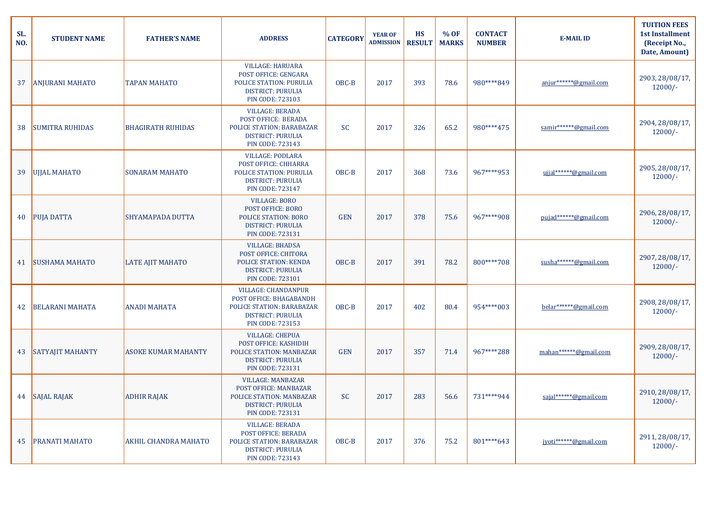| SL.<br>NO. | <b>STUDENT NAME</b>     | <b>FATHER'S NAME</b>        | <b>ADDRESS</b>                                                                                                                                   | <b>CATEGORY</b> | <b>YEAR OF</b><br><b>ADMISSION</b> | <b>HS</b><br><b>RESULT</b> | % OF<br><b>MARKS</b> | <b>CONTACT</b><br><b>NUMBER</b> | <b>E-MAIL ID</b>      | <b>TUITION FEES</b><br><b>1st Installment</b><br>(Receipt No.,<br>Date, Amount) |
|------------|-------------------------|-----------------------------|--------------------------------------------------------------------------------------------------------------------------------------------------|-----------------|------------------------------------|----------------------------|----------------------|---------------------------------|-----------------------|---------------------------------------------------------------------------------|
| 37         | <b>ANJURANI MAHATO</b>  | <b>TAPAN MAHATO</b>         | <b>VILLAGE: HARUARA</b><br>POST OFFICE: GENGARA<br><b>POLICE STATION: PURULIA</b><br><b>DISTRICT: PURULIA</b><br><b>PIN CODE: 723103</b>         | OBC-B           | 2017                               | 393                        | 78.6                 | 980****849                      | anjur******@gmail.com | 2903, 28/08/17,<br>$12000/-$                                                    |
| 38         | <b>SUMITRA RUHIDAS</b>  | <b>BHAGIRATH RUHIDAS</b>    | <b>VILLAGE: BERADA</b><br>POST OFFICE: BERADA<br><b>POLICE STATION: BARABAZAR</b><br><b>DISTRICT: PURULIA</b><br><b>PIN CODE: 723143</b>         | <b>SC</b>       | 2017                               | 326                        | 65.2                 | 980****475                      | samir******@gmail.com | 2904, 28/08/17,<br>$12000/-$                                                    |
| 39         | <b>UJJAL MAHATO</b>     | <b>SONARAM MAHATO</b>       | <b>VILLAGE: PODLARA</b><br>POST OFFICE: CHHARRA<br><b>POLICE STATION: PURULIA</b><br><b>DISTRICT: PURULIA</b><br><b>PIN CODE: 723147</b>         | OBC-B           | 2017                               | 368                        | 73.6                 | 967****953                      | ujjal******@gmail.com | 2905, 28/08/17,<br>$12000/-$                                                    |
|            | 40 PUJA DATTA           | <b>SHYAMAPADA DUTTA</b>     | <b>VILLAGE: BORO</b><br>POST OFFICE: BORO<br><b>POLICE STATION: BORO</b><br><b>DISTRICT: PURULIA</b><br><b>PIN CODE: 723131</b>                  | <b>GEN</b>      | 2017                               | 378                        | 75.6                 | 967****908                      | pujad******@gmail.com | 2906, 28/08/17,<br>$12000/-$                                                    |
| 41         | <b>SUSHAMA MAHATO</b>   | <b>LATE AJIT MAHATO</b>     | <b>VILLAGE: BHADSA</b><br>POST OFFICE: CHITORA<br>POLICE STATION: KENDA<br><b>DISTRICT: PURULIA</b><br><b>PIN CODE: 723101</b>                   | OBC-B           | 2017                               | 391                        | 78.2                 | 800****708                      | susha******@gmail.com | 2907, 28/08/17,<br>$12000/-$                                                    |
| 42         | <b>BELARANI MAHATA</b>  | <b>ANADI MAHATA</b>         | <b>VILLAGE: CHANDANPUR</b><br>POST OFFICE: BHAGABANDH<br><b>POLICE STATION: BARABAZAR</b><br><b>DISTRICT: PURULIA</b><br><b>PIN CODE: 723153</b> | OBC-B           | 2017                               | 402                        | 80.4                 | 954****003                      | belar******@gmail.com | 2908, 28/08/17,<br>$12000/-$                                                    |
| 43         | <b>SATYAJIT MAHANTY</b> | <b>ASOKE KUMAR MAHANTY</b>  | <b>VILLAGE: CHEPUA</b><br>POST OFFICE: KASHIDIH<br><b>POLICE STATION: MANBAZAR</b><br><b>DISTRICT: PURULIA</b><br><b>PIN CODE: 723131</b>        | <b>GEN</b>      | 2017                               | 357                        | 71.4                 | 967****288                      | mahan******@gmail.com | 2909, 28/08/17,<br>$12000/-$                                                    |
|            | 44 SAJAL RAJAK          | <b>ADHIR RAJAK</b>          | <b>VILLAGE: MANBAZAR</b><br>POST OFFICE: MANBAZAR<br>POLICE STATION: MANBAZAR<br><b>DISTRICT: PURULIA</b><br><b>PIN CODE: 723131</b>             | <b>SC</b>       | 2017                               | 283                        | 56.6                 | 731****944                      | sajal******@gmail.com | 2910, 28/08/17,<br>$12000/-$                                                    |
| 45         | PRANATI MAHATO          | <b>AKHIL CHANDRA MAHATO</b> | <b>VILLAGE: BERADA</b><br><b>POST OFFICE: BERADA</b><br><b>POLICE STATION: BARABAZAR</b><br><b>DISTRICT: PURULIA</b><br><b>PIN CODE: 723143</b>  | OBC-B           | 2017                               | 376                        | 75.2                 | 801****643                      | jyoti******@gmail.com | 2911, 28/08/17,<br>$12000/-$                                                    |